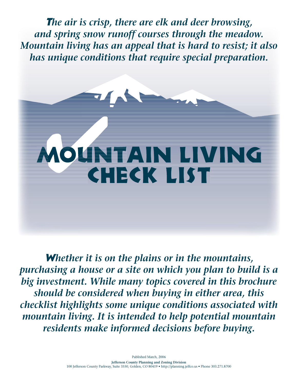T*he air is crisp, there are elk and deer browsing, and spring snow runoff courses through the meadow. Mountain living has an appeal that is hard to resist; it also has unique conditions that require special preparation.*

# MOUNTAIN LIVING Check list

W*hether it is on the plains or in the mountains, purchasing a house or a site on which you plan to build is a big investment. While many topics covered in this brochure should be considered when buying in either area, this checklist highlights some unique conditions associated with mountain living. It is intended to help potential mountain residents make informed decisions before buying.*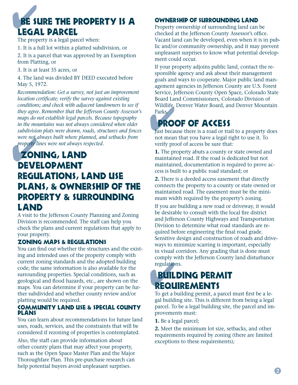## BE SURE THE PROPERTY IS A Legal Parcel

The property is a legal parcel when:

1. It is a full lot within a platted subdivision, or

2. It is a parcel that was approved by an Exemption from Platting, or

3. It is at least 35 acres, or

4. The land was divided BY DEED executed before May 5, 1972.

*Recommendation: Get a survey, not just an improvement location certificate; verify the survey against existing conditions; and check with adjacent landowners to see if they agree. Remember that the Jefferson County Assessor's maps do not establish legal parcels. Because topography in the mountains was not always considered when older subdivision plats were drawn, roads, structures and fences were not always built where planned, and setbacks from property lines were not always respected.*

### were not<br>property l Zoning, Land Development Regulations, Land Use Plans, & Ownership of the Property & Surrounding Land

A visit to the Jefferson County Planning and Zoning Division is recommended. The staff can help you check the plans and current regulations that apply to your property.

#### Zoning Maps & Regulations

You can find out whether the structures and the existing and intended uses of the property comply with current zoning standards and the adopted building code; the same information is also available for the surrounding properties. Special conditions, such as geological and flood hazards, etc., are shown on the maps. You can determine if your property can be further subdivided and whether county review and/or platting would be required.

#### Community Land Use & Special County Plans

You can learn about recommendations for future land uses, roads, services, and the constraints that will be considered if rezoning of properties is contemplated.

Also, the staff can provide information about other county plans that may affect your property, such as the Open Space Master Plan and the Major Thoroughfare Plan. This pre-purchase research can help potential buyers avoid unpleasant surprises.

#### Ownership of Surrounding Land

Property ownership of surrounding land can be checked at the Jefferson County Assessor's office. Vacant land can be developed, even when it is in public and/or community ownership, and it may prevent unpleasant surprises to know what potential development could occur.

Wildlife, Denver Water Board, and Denver Mountain<br>Parks.<br>**PROOF OF ACCESS**<br>Just because there is a road or trail to a property does If your property adjoins public land, contact the responsible agency and ask about their management goals and ways to cooperate. Major public land management agencies in Jefferson County are U.S. Forest Service, Jefferson County Open Space, Colorado State Board Land Commissioners, Colorado Division of Wildlife, Denver Water Board, and Denver Mountain Parks.

## Proof of Access

not mean that you have a legal right to use it. To verify proof of access be sure that:

**1.** The property abuts a county or state owned and maintained road. If the road is dedicated but not maintained, documentation is required to prove access is built to a public road standard; or

**2.** There is a deeded access easement that directly connects the property to a county or state owned or maintained road. The easement must be the minimum width required by the property's zoning.

If you are building a new road or driveway, it would be desirable to consult with the local fire district and Jefferson County Highways and Transportation Division to determine what road standards are required before engineering the final road grade. Sensitive design and construction of roads and driveways to minimize scarring is important, especially in visual corridors. Any grading that is done must comply with the Jefferson County land disturbance regulations.

# regulations.<br> **BUILDING PERA<br>
REQUIREMENTS** Building Permit

To get a building permit, a parcel must first be a legal building site. This is different from being a legal parcel. To be a legal building site, the parcel and improvements must:

**1.** Be a legal parcel;

**2.** Meet the minimum lot size, setbacks, and other requirements required by zoning (there are limited exceptions to these requirements);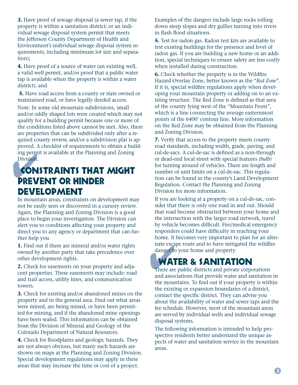**3.** Have proof of sewage disposal (a sewer tap, if the property is within a sanitation district; or an individual sewage disposal system permit that meets the Jefferson County Department of Health and Environment's individual sewage disposal system requirements, including minimum lot size and separation);

**4.** Have proof of a source of water (an existing well, a valid well permit, and/or proof that a public water tap is available when the property is within a water district); and

 **5.** Have road access from a county or state owned or maintained road, or have legally deeded access.

Note: In some old mountain subdivisions, small and/or oddly shaped lots were created which may not qualify for a building permit because one or more of the conditions listed above cannot be met. Also, there are properties that can be subdivided only after a required county review, and/or a subdivision plat is approved. A checklist of requirements to obtain a building permit is available at the Planning and Zoning Division.

## ing perm<br>Division.<br>**CON**  Constraints That Might Prevent or Hinder **DEVELOPMENT**

In mountain areas, constraints on development may not be easily seen or discovered in a cursory review. Again, the Planning and Zoning Division is a good place to begin your investigation. The Division can alert you to conditions affecting your property and direct you to any agency or department that can further help you.

**1.** Find out if there are mineral and/or water rights owned by another party that take precedence over other development rights.

**2.** Check for easements on your property and adjacent properties. These easements may include: road and trail access, utility lines, and communication towers.

**3.** Check for existing and/or abandoned mines on the property and in the general area. Find out what areas were mined, are being mined, or have been permitted for mining, and if the abandoned mine openings have been sealed. This information can be obtained from the Division of Mineral and Geology of the Colorado Department of Natural Resources.

**4.** Check for floodplains and geologic hazards. They are not always obvious, but many such hazards are shown on maps at the Planning and Zoning Division. Special development regulations may apply in these areas that may increase the time or cost of a project.

Examples of the dangers include large rocks rolling down steep slopes and dry gullies turning into rivers in flash flood situations.

**5.** Test for radon gas. Radon test kits are available to test existing buildings for the presence and level of radon gas. If you are building a new home or an addition, special techniques to ensure safety are less costly when installed during construction.

**6.** Check whether the property is in the Wildfire Hazard Overlay Zone, better known as the "*Red Zone*". If it is, special wildfire regulations apply when developing your mountain property or adding on to an existing structure. The Red Zone is defined as that area of the county lying west of the "Mountain Front", which is a line connecting the average easternmost points of the 6400' contour line. More information on the Red Zone may be obtained from the Planning and Zoning Division.

**7.** Verify that access to the property meets county road standards, including width, grade, paving, and cul-de-sacs. A cul-de-sac is defined as a non-through or dead-end local street with special features *(bulb)* for turning around of vehicles. There are length and number of unit limits on a cul-de-sac. This regulation can be found in the county's Land Development Regulation. Contact the Planning and Zoning Division for more information.

nate esca<br>danger to<br>**WAT**<br>There are If you are looking at a property on a cul-de-sac, consider that there is only one road in and out. Should that road become obstructed between your home and the intersection with the larger road network, travel by vehicle becomes difficult. Fire/medical emergency responders could have difficulty in reaching your home. It becomes very important to plan for an alternate escape route and to have mitigated the wildfire danger to your home and property.

## WATER & SANITATION

There are public districts and private corporations and associations that provide water and sanitation in the mountains. To find out if your property is within the existing or expansion boundaries of a district, contact the specific district. They can advise you about the availability of water and sewer taps and the fee schedule. However, most of the mountain areas are served by individual wells and individual sewage disposal systems.

The following information is intended to help prospective residents better understand the unique aspects of water and sanitation service in the mountain areas.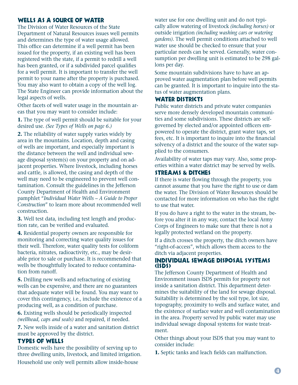#### WELLS AS A SOURCE OF WATER

The Division of Water Resources of the State Department of Natural Resources issues well permits and determines the type of water usage allowed. This office can determine if a well permit has been issued for the property, if an existing well has been registered with the state, if a permit to redrill a well has been granted, or if a subdivided parcel qualifies for a well permit. It is important to transfer the well permit to your name after the property is purchased. You may also want to obtain a copy of the well log. The State Engineer can provide information about the legal aspects of wells.

Other facets of well water usage in the mountain areas that you may want to consider include:

**1.** The type of well permit should be suitable for your desired use. *(See Types of Wells on page 6.)*

**2.** The reliability of water supply varies widely by area in the mountains. Location, depth and casing of wells are important, and especially important is the distance between the well and individual sewage disposal system(s) on your property and on adjacent properties. Where livestock, including horses and cattle, is allowed, the casing and depth of the well may need to be engineered to prevent well contamination. Consult the guidelines in the Jefferson County Department of Health and Environment pamphlet "*Individual Water Wells – A Guide to Proper Construction*" to learn more about recommended well construction.

**3.** Well test data, including test length and production rate, can be verified and evaluated.

**4.** Residential property owners are responsible for monitoring and correcting water quality issues for their well. Therefore, water quality tests for coliform bacteria, nitrates, radioactivity, etc., may be desirable prior to sale or purchase. It is recommended that wells be thoughtfully located to reduce contamination from runoff.

**5.** Drilling new wells and refracturing of existing wells can be expensive, and there are no guarantees that adequate water will be found. You may want to cover this contingency, i.e., include the existence of a producing well, as a condition of purchase.

**6.** Existing wells should be periodically inspected *(wellhead, caps and seals)* and repaired, if needed.

**7.** New wells inside of a water and sanitation district must be approved by the district.

#### Types of Wells

Domestic wells have the possibility of serving up to three dwelling units, livestock, and limited irrigation. Household use only well permits allow inside-house

water use for one dwelling unit and do not typically allow watering of livestock *(including horses)* or outside irrigation *(including washing cars or watering gardens)*. The well permit conditions attached to well water use should be checked to ensure that your particular needs can be served. Generally, water consumption per dwelling unit is estimated to be 298 gallons per day.

Some mountain subdivisions have to have an approved water augmentation plan before well permits can be granted. It is important to inquire into the status of water augmentation plans.

#### WATER DISTRICTS

Public water districts and private water companies serve more densely developed mountain communities and some subdivisions. These districts are selfgoverned by elected and/or appointed officers empowered to operate the district, grant water taps, set fees, etc. It is important to inquire into the financial solvency of a district and the source of the water supplied to the consumers.

Availability of water taps may vary. Also, some properties within a water district may be served by wells.

#### Streams & Ditches

If there is water flowing through the property, you cannot assume that you have the right to use or dam the water. The Division of Water Resources should be contacted for more information on who has the right to use that water.

If you do have a right to the water in the stream, before you alter it in any way, contact the local Army Corps of Engineers to make sure that there is not a legally protected wetland on the property.

If a ditch crosses the property, the ditch owners have "right-of-access", which allows them access to the ditch via adjacent properties.

#### Individual Sewage Disposal Systems (ISDS)

The Jefferson County Department of Health and Environment issues ISDS permits for property not inside a sanitation district. This department determines the suitability of the land for sewage disposal. Suitability is determined by the soil type, lot size, topography, proximity to wells and surface water, and the existence of surface water and well contamination in the area. Property served by public water may use individual sewage disposal systems for waste treatment.

Other things about your ISDS that you may want to consider include:

**1.** Septic tanks and leach fields can malfunction.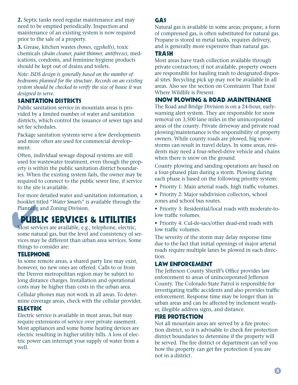**2.** Septic tanks need regular maintenance and may need to be emptied periodically. Inspection and maintenance of an existing system is now required prior to the sale of a property.

**3.** Grease, kitchen wastes *(bones, eggshells)*, toxic chemicals *(drain cleaner, paint thinner, antifreeze)*, medications, condoms, and feminine hygiene products should be kept out of drains and toilets.

*Note: ISDS design is generally based on the number of bedrooms planned for the structure. Records on an existing system should be checked to verify the size of house it was designed to serve.*

#### Sanitation Districts

Public sanitation service in mountain areas is provided by a limited number of water and sanitation districts, which control the issuance of sewer taps and set fee schedules.

Package sanitation systems serve a few developments and more often are used for commercial development.

Often, individual sewage disposal systems are still used for wastewater treatment, even though the property is within the public sanitation district boundaries. When the existing system fails, the owner may be required to connect to the public sewer line, if service to the site is available.

For more detailed water and sanitation information, a booklet titled "*Water Smarts*" is available through the Planning and Zoning Division.

# BUBLIC SERVICES & UTILITIES<br>Most services are available, e.g., telephone, electric, Public Services & Utilities

some natural gas, but the level and consistency of services may be different than urban area services. Some things to consider are:

#### **TELEPHONE**

In some remote areas, a shared party line may exist, however, no new ones are offered. Calls to or from the Denver metropolitan region may be subject to long distance charges. Installation and operational costs may be higher than costs in the urban area.

Cellular phones may not work in all areas. To determine coverage areas, check with the cellular provider.

#### **ELECTRIC**

Electric service is available in most areas, but may require extensions of service over private easement. Most appliances and some home heating devices are electric resulting in higher utility bills. A loss of electric power can interrupt your supply of water from a well.

#### Gas

Natural gas is available in some areas; propane, a form of compressed gas, is often substituted for natural gas. Propane is stored in metal tanks, requires delivery, and is generally more expensive than natural gas.

#### **TRASH**

Most areas have trash collection available through private contractors; if not available, property owners are responsible for hauling trash to designated disposal sites. Recycling pick up may not be available in all areas. Also see the section on Constraints That Exist Where Wildlife is Present.

#### Snow Plowing & Road Maintenance

The Road and Bridge Division is on a 24-hour, earlywarning alert system. They are responsible for snow removal on 3,500 lane miles in the unincorporated areas of the county. Private driveway and private road plowing/maintenance is the responsibility of property owners. While county roads are plowed, big snowstorms can result in travel delays. In some areas, residents may need a four-wheel-drive vehicle and chains when there is snow on the ground.

County plowing and sanding operations are based on a four-phased plan during a storm. Plowing during each phase is based on the following priority system:

- Priority 1: Main arterial roads, high traffic volumes.
- Priority 2: Major subdivision collectors, school zones and school bus routes.
- Priority 3: Residential/local roads with moderate-tolow traffic volumes.
- Priority 4: Cul-de-sacs/other dead-end roads with low traffic volumes.

The severity of the storm may delay response time due to the fact that initial openings of major arterial roads require multiple lanes be plowed in each direction.

#### Law Enforcement

The Jefferson County Sheriff's Office provides law enforcement to areas of unincorporated Jefferson County. The Colorado State Patrol is responsible for investigating traffic accidents and also provides traffic enforcement. Response time may be longer than in urban areas and can be affected by inclement weather, illegible address signs, and distance.

#### Fire Protection

Not all mountain areas are served by a fire protection district, so it is advisable to check fire protection district boundaries to determine if the property will be served. The fire district or department can tell you how the property can get fire protection if you are not in a district.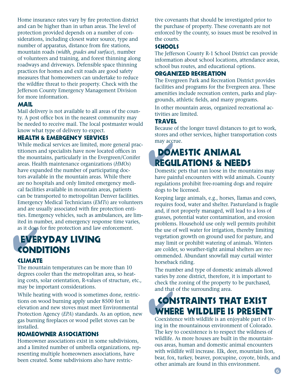Home insurance rates vary by fire protection district and can be higher than in urban areas. The level of protection provided depends on a number of considerations, including closest water source, type and number of apparatus, distance from fire stations, mountain roads (*width, grades and surface*), number of volunteers and training, and forest thinning along roadways and driveways. Defensible space thinning practices for homes and exit roads are good safety measures that homeowners can undertake to reduce the wildfire threat to their property. Check with the Jefferson County Emergency Management Division for more information.

#### **MAIL**

Mail delivery is not available to all areas of the county. A post office box in the nearest community may be needed to receive mail. The local postmaster would know what type of delivery to expect.

#### Health & Emergency Services

While medical services are limited, more general practitioners and specialists have now located offices in the mountains, particularly in the Evergreen/Conifer areas. Health maintenance organizations (*HMOs*) have expanded the number of participating doctors available in the mountain areas. While there are no hospitals and only limited emergency medical facilities available in mountain areas, patients can be transported to metropolitan Denver facilities. Emergency Medical Technicians (*EMTs*) are volunteers and are usually associated with fire protection entities. Emergency vehicles, such as ambulances, are limited in number, and emergency response time varies, as it does for fire protection and law enforcement.

# as it does for fire protected<br> **EVERYDAY**<br> **CONDITIONS EVERYDAY LIVING**

#### **CLIMATE**

The mountain temperatures can be more than 10 degrees cooler than the metropolitan area, so heating costs, solar orientation, R-values of structure, etc., may be important considerations.

While heating with wood is sometimes done, restrictions on wood burning apply under 8500 feet in elevation and new stoves must meet Environmental Protection Agency (*EPA*) standards. As an option, new gas burning fireplaces or wood pellet stoves can be installed.

#### Homeowner Associations

Homeowner associations exist in some subdivisions, and a limited number of umbrella organizations, representing multiple homeowners associations, have been created. Some subdivisions also have restrictive covenants that should be investigated prior to the purchase of property. These covenants are not enforced by the county, so issues must be resolved in the courts.

#### **SCHOOLS**

The Jefferson County R-1 School District can provide information about school locations, attendance areas, school bus routes, and educational options.

#### Organized Recreation

The Evergreen Park and Recreation District provides facilities and programs for the Evergreen area. These amenities include recreation centers, parks and playgrounds, athletic fields, and many programs.

In other mountain areas, organized recreational activities are limited.

#### **TRAVEL**

Because of the longer travel distances to get to work, stores and other services, higher transportation costs may accrue.

# may accrue.<br> **DOMESTIC ANIMAL<br>
REGULATIONS & NEEDS** Domestic Animal

Domestic pets that run loose in the mountains may have painful encounters with wild animals. County regulations prohibit free-roaming dogs and require dogs to be licensed.

Keeping large animals, e.g., horses, llamas and cows, requires food, water and shelter. Pastureland is fragile and, if not properly managed, will lead to a loss of grasses, potential water contamination, and erosion problems. Household use only well permits prohibit the use of well water for irrigation, thereby limiting vegetation growth on ground used for pasture, and may limit or prohibit watering of animals. Winters are colder, so weather-tight animal shelters are recommended. Abundant snowfall may curtail winter horseback riding.

The number and type of domestic animals allowed varies by zone district, therefore, it is important to check the zoning of the property to be purchased, and that of the surrounding area.

# **SONSTRAINTS THAT EXIST**<br> **WHERE WILDLIFE IS PRESENT** Constraints That Exist

Coexistence with wildlife is an enjoyable part of living in the mountainous environment of Colorado. The key to coexistence is to respect the wildness of wildlife. As more houses are built in the mountainous areas, human and domestic animal encounters with wildlife will increase. Elk, deer, mountain lion, bear, fox, turkey, beaver, porcupine, coyote, birds, and other animals are found in this environment.